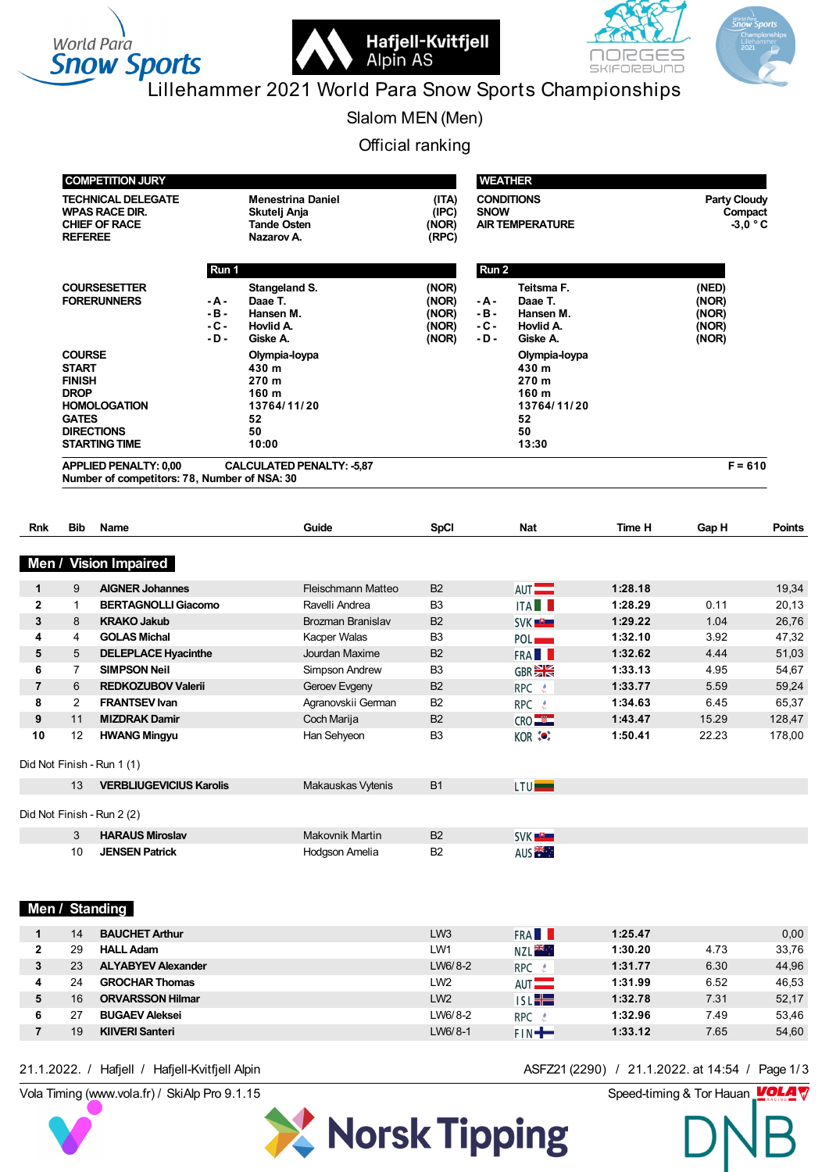



# Lillehammer 2021 World Para Snow Sports Championships

Slalom MEN (Men)

Official ranking

|                     | <b>COMPETITION JURY</b><br><b>TECHNICAL DELEGATE</b>                          |                                                                                 |                                                                              | <b>WEATHER</b>                            |                                    |                                                                              |                    |                                           |                |  |
|---------------------|-------------------------------------------------------------------------------|---------------------------------------------------------------------------------|------------------------------------------------------------------------------|-------------------------------------------|------------------------------------|------------------------------------------------------------------------------|--------------------|-------------------------------------------|----------------|--|
|                     | <b>REFEREE</b>                                                                | <b>WPAS RACE DIR.</b><br><b>CHIEF OF RACE</b>                                   | <b>Menestrina Daniel</b><br>Skutelj Anja<br><b>Tande Osten</b><br>Nazarov A. | (ITA)<br>(IPC)<br>(NOR)<br>(RPC)          | <b>SNOW</b>                        | <b>CONDITIONS</b><br><b>AIR TEMPERATURE</b>                                  |                    | <b>Party Cloudy</b><br>Compact            | $-3,0 °C$      |  |
|                     |                                                                               | Run 1                                                                           |                                                                              |                                           | Run 2                              |                                                                              |                    |                                           |                |  |
|                     |                                                                               | <b>COURSESETTER</b><br><b>FORERUNNERS</b><br>- A -<br>$-B -$<br>$-C -$<br>$-D-$ | Stangeland S.<br>Daae T.<br>Hansen M.<br>Hovlid A.<br>Giske A.               | (NOR)<br>(NOR)<br>(NOR)<br>(NOR)<br>(NOR) | - A -<br>$-B -$<br>$-C -$<br>- D - | Teitsma F.<br>Daae T.<br>Hansen M.<br>Hovlid A.<br>Giske A.                  |                    | (NED)<br>(NOR)<br>(NOR)<br>(NOR)<br>(NOR) |                |  |
|                     | <b>COURSE</b><br><b>START</b><br><b>FINISH</b><br><b>DROP</b><br><b>GATES</b> | <b>HOMOLOGATION</b><br><b>DIRECTIONS</b><br><b>STARTING TIME</b>                | Olympia-loypa<br>430 m<br>270 m<br>160 m<br>13764/11/20<br>52<br>50<br>10:00 |                                           |                                    | Olympia-loypa<br>430 m<br>270 m<br>160 m<br>13764/11/20<br>52<br>50<br>13:30 |                    |                                           |                |  |
|                     |                                                                               | <b>APPLIED PENALTY: 0,00</b><br>Number of competitors: 78, Number of NSA: 30    | <b>CALCULATED PENALTY: - 5,87</b>                                            |                                           |                                    |                                                                              |                    | $F = 610$                                 |                |  |
| <b>Rnk</b>          | <b>Bib</b>                                                                    | Name                                                                            | Guide                                                                        | <b>SpCI</b>                               |                                    | <b>Nat</b>                                                                   | Time H             | Gap H                                     | <b>Points</b>  |  |
|                     |                                                                               |                                                                                 |                                                                              |                                           |                                    |                                                                              |                    |                                           |                |  |
| Men /               |                                                                               | <b>Vision Impaired</b>                                                          |                                                                              |                                           |                                    |                                                                              |                    |                                           |                |  |
| $\mathbf{1}$        | 9                                                                             | <b>AIGNER Johannes</b>                                                          | Fleischmann Matteo                                                           | B <sub>2</sub>                            |                                    | AUT <sup>-</sup>                                                             | 1:28.18            |                                           | 19,34          |  |
| $\overline{2}$      | $\mathbf{1}$                                                                  | <b>BERTAGNOLLI Giacomo</b>                                                      | Ravelli Andrea                                                               | B <sub>3</sub>                            |                                    | <b>ITA</b>                                                                   | 1:28.29            | 0.11                                      | 20,13          |  |
| 3                   | 8                                                                             | <b>KRAKO Jakub</b>                                                              | Brozman Branislav                                                            | <b>B2</b>                                 |                                    | SVK <b>D</b>                                                                 | 1:29.22            | 1.04                                      | 26,76          |  |
| 4                   | 4                                                                             | <b>GOLAS Michal</b>                                                             | Kacper Walas                                                                 | B <sub>3</sub>                            |                                    | POL <sub>p</sub>                                                             | 1:32.10            | 3.92                                      | 47,32          |  |
| 5                   | 5                                                                             | <b>DELEPLACE Hyacinthe</b>                                                      | Jourdan Maxime                                                               | <b>B2</b>                                 |                                    | FRA <b>N</b>                                                                 | 1:32.62            | 4.44                                      | 51,03          |  |
| 6<br>$\overline{7}$ | $\overline{7}$<br>6                                                           | <b>SIMPSON Neil</b><br><b>REDKOZUBOV Valerii</b>                                | Simpson Andrew<br>Geroev Evgeny                                              | B <sub>3</sub><br>B <sub>2</sub>          |                                    | GBR <sup>SK</sup>                                                            | 1:33.13<br>1:33.77 | 4.95<br>5.59                              | 54,67<br>59,24 |  |
| 8                   | $\overline{2}$                                                                | <b>FRANTSEV Ivan</b>                                                            | Agranovskii German                                                           | <b>B2</b>                                 |                                    | RPC &<br>RPC &                                                               | 1:34.63            | 6.45                                      | 65,37          |  |
| 9                   | 11                                                                            | <b>MIZDRAK Damir</b>                                                            | Coch Marija                                                                  | <b>B2</b>                                 |                                    | CRO <sup>NE</sup>                                                            | 1:43.47            | 15.29                                     | 128,47         |  |
| 10                  | 12                                                                            | <b>HWANG Mingyu</b>                                                             | Han Sehyeon                                                                  | B <sub>3</sub>                            |                                    | KOR <b>(OF</b> )                                                             | 1:50.41            | 22.23                                     | 178,00         |  |
|                     |                                                                               | Did Not Finish - Run 1 (1)                                                      |                                                                              |                                           |                                    |                                                                              |                    |                                           |                |  |
|                     | 13                                                                            | <b>VERBLIUGEVICIUS Karolis</b>                                                  | Makauskas Vytenis                                                            | <b>B1</b>                                 |                                    | LTU <b>L</b>                                                                 |                    |                                           |                |  |
|                     |                                                                               | Did Not Finish - Run 2 (2)                                                      |                                                                              |                                           |                                    |                                                                              |                    |                                           |                |  |
|                     | 3                                                                             | <b>HARAUS Miroslav</b>                                                          | Makovnik Martin                                                              | B <sub>2</sub>                            |                                    | SVK <sup>U</sup>                                                             |                    |                                           |                |  |
|                     | 10                                                                            | <b>JENSEN Patrick</b>                                                           | Hodgson Amelia                                                               | B <sub>2</sub>                            |                                    | AUS <sup>E</sup>                                                             |                    |                                           |                |  |
|                     |                                                                               |                                                                                 |                                                                              |                                           |                                    |                                                                              |                    |                                           |                |  |
|                     |                                                                               | Men / Standing                                                                  |                                                                              |                                           |                                    |                                                                              |                    |                                           |                |  |
|                     |                                                                               |                                                                                 |                                                                              |                                           |                                    |                                                                              |                    |                                           |                |  |

|   | 14 | <b>BAUCHET Arthur</b>     | LW <sub>3</sub> | <b>FRA</b>        | 1:25.47 |      | 0,00  |
|---|----|---------------------------|-----------------|-------------------|---------|------|-------|
| 2 | 29 | <b>HALL Adam</b>          | LW1             | <b>NZLE SKRAP</b> | 1:30.20 | 4.73 | 33,76 |
| 3 | 23 | <b>ALYABYEV Alexander</b> | LW6/8-2         | RPC &             | 1:31.77 | 6.30 | 44,96 |
|   | 24 | <b>GROCHAR Thomas</b>     | LW <sub>2</sub> | $AUT$ $\qquad$    | 1:31.99 | 6.52 | 46.53 |
| 5 | 16 | <b>ORVARSSON Hilmar</b>   | LW <sub>2</sub> | $ISL +$           | 1:32.78 | 7.31 | 52,17 |
| 6 |    | <b>BUGAEV Aleksei</b>     | LW6/8-2         | RPC 2             | 1:32.96 | 7.49 | 53,46 |
|   | 19 | <b>KIIVERI Santeri</b>    | LW6/8-1         | $  \mathbb{F}$    | 1:33.12 | 7.65 | 54,60 |
|   |    |                           |                 |                   |         |      |       |

Vola Timing (www.vola.fr) / SkiAlp Pro 9.1.15 Speed-timing & Tor Hauan 21.1.2022. / Hafjell / Hafjell-Kvitfjell Alpin ASFZ21 (2290) / 21.1.2022. at 14:54 / Page 1/3

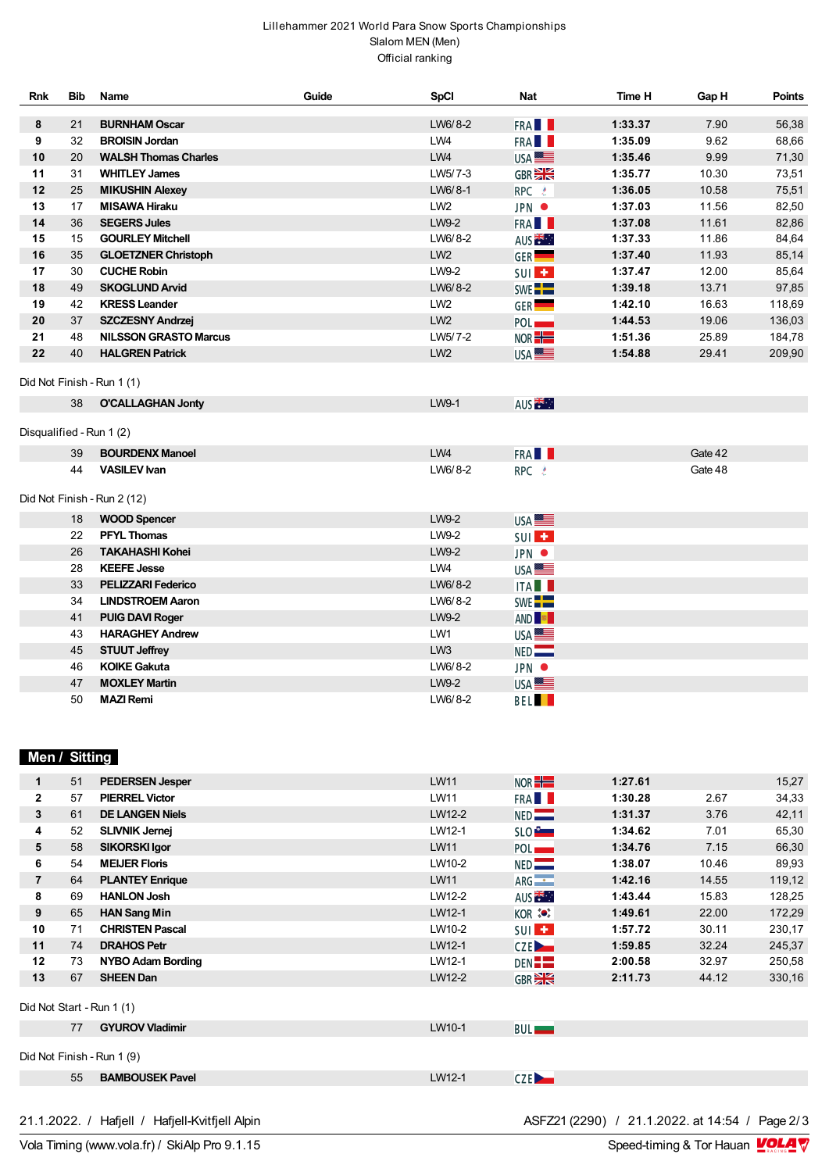## Lillehammer 2021 World Para Snow Sports Championships Slalom MEN (Men) Official ranking

| <b>Rnk</b>               | <b>Bib</b> | Name                         | Guide | <b>SpCI</b>     | <b>Nat</b>         | Time H  | Gap H   | <b>Points</b> |
|--------------------------|------------|------------------------------|-------|-----------------|--------------------|---------|---------|---------------|
| 8                        | 21         | <b>BURNHAM Oscar</b>         |       | LW6/8-2         | FRA <b>II</b>      | 1:33.37 | 7.90    | 56,38         |
| 9                        | 32         | <b>BROISIN Jordan</b>        |       | LW4             | FRA <b>II</b>      | 1:35.09 | 9.62    | 68,66         |
| 10                       | 20         | <b>WALSH Thomas Charles</b>  |       | LW4             | USA <sup>LL</sup>  | 1:35.46 | 9.99    | 71,30         |
| 11                       | 31         | <b>WHITLEY James</b>         |       | LW5/7-3         | GBR <sub>2</sub>   | 1:35.77 | 10.30   | 73,51         |
| 12                       | 25         | <b>MIKUSHIN Alexey</b>       |       | LW6/8-1         | RPC &              | 1:36.05 | 10.58   | 75,51         |
| 13                       | 17         | <b>MISAWA Hiraku</b>         |       | LW <sub>2</sub> | JPN $\bullet$      | 1:37.03 | 11.56   | 82,50         |
| 14                       | 36         | <b>SEGERS Jules</b>          |       | LW9-2           | FRA <b>N</b>       | 1:37.08 | 11.61   | 82,86         |
| 15                       | 15         | <b>GOURLEY Mitchell</b>      |       | LW6/8-2         | AUS <sup>TER</sup> | 1:37.33 | 11.86   | 84,64         |
| 16                       | 35         | <b>GLOETZNER Christoph</b>   |       | LW <sub>2</sub> | GER <sup>1</sup>   | 1:37.40 | 11.93   | 85,14         |
| 17                       | 30         | <b>CUCHE Robin</b>           |       | LW9-2           | SUI <sup>L</sup>   | 1:37.47 | 12.00   | 85,64         |
| 18                       | 49         | <b>SKOGLUND Arvid</b>        |       | LW6/8-2         | SWE <sup>--</sup>  | 1:39.18 | 13.71   | 97,85         |
| 19                       | 42         | <b>KRESS Leander</b>         |       | LW <sub>2</sub> | GER <sup>1</sup>   | 1:42.10 | 16.63   | 118,69        |
| 20                       | 37         | <b>SZCZESNY Andrzej</b>      |       | LW <sub>2</sub> | POL <sub>p</sub>   | 1:44.53 | 19.06   | 136,03        |
| 21                       | 48         | <b>NILSSON GRASTO Marcus</b> |       | LW5/7-2         | NOR <sup>-1</sup>  | 1:51.36 | 25.89   | 184,78        |
| 22                       | 40         | <b>HALGREN Patrick</b>       |       | LW <sub>2</sub> | USA <sup>E</sup>   | 1:54.88 | 29.41   | 209,90        |
|                          |            | Did Not Finish - Run 1 (1)   |       |                 |                    |         |         |               |
|                          | 38         | <b>O'CALLAGHAN Jonty</b>     |       | LW9-1           | AUS <sup>TH</sup>  |         |         |               |
| Disqualified - Run 1 (2) |            |                              |       |                 |                    |         |         |               |
|                          | 39         | <b>BOURDENX Manoel</b>       |       | LW4             | FRA <b>N</b>       |         | Gate 42 |               |
|                          | 44         | <b>VASILEV Ivan</b>          |       | LW6/8-2         | RPC &              |         | Gate 48 |               |
|                          |            | Did Not Finish - Run 2 (12)  |       |                 |                    |         |         |               |
|                          | 18         | <b>WOOD Spencer</b>          |       | LW9-2           | USA <sup>E</sup>   |         |         |               |
|                          | 22         | <b>PFYL Thomas</b>           |       | LW9-2           | SUI <sup>T</sup>   |         |         |               |
|                          | 26         | <b>TAKAHASHI Kohei</b>       |       | LW9-2           | JPN $\bullet$      |         |         |               |
|                          | 28         | <b>KEEFE Jesse</b>           |       | LW4             | USA <sup>E</sup>   |         |         |               |
|                          | 33         | <b>PELIZZARI Federico</b>    |       | LW6/8-2         | <b>ITAL</b>        |         |         |               |
|                          | 34         | <b>LINDSTROEM Aaron</b>      |       | LW6/8-2         | SWE <sup>-</sup>   |         |         |               |
|                          | 41         | <b>PUIG DAVI Roger</b>       |       | LW9-2           | AND <sup>R</sup>   |         |         |               |
|                          | 43         | <b>HARAGHEY Andrew</b>       |       | LW1             | USA <sup>IE</sup>  |         |         |               |
|                          | 45         | <b>STUUT Jeffrey</b>         |       | LW <sub>3</sub> | NED                |         |         |               |
|                          | 46         | <b>KOIKE Gakuta</b>          |       | LW6/8-2         | JPN $\bullet$      |         |         |               |
|                          | 47         | <b>MOXLEY Martin</b>         |       | LW9-2           | USA <b>LE</b>      |         |         |               |
|                          | 50         | <b>MAZI Remi</b>             |       | LW6/8-2         | <b>BEL</b>         |         |         |               |

## **Men / Sitting**

|                | 51 | <b>PEDERSEN Jesper</b>     | <b>LW11</b> | NOR <sup>-1</sup>            | 1:27.61 |       | 15,27  |
|----------------|----|----------------------------|-------------|------------------------------|---------|-------|--------|
| $\mathbf{2}$   | 57 | <b>PIERREL Victor</b>      | LW11        | FRA <b>II</b>                | 1:30.28 | 2.67  | 34,33  |
| 3              | 61 | <b>DE LANGEN Niels</b>     | LW12-2      | NED                          | 1:31.37 | 3.76  | 42,11  |
| 4              | 52 | <b>SLIVNIK Jernej</b>      | LW12-1      | SLO <sup>P</sup>             | 1:34.62 | 7.01  | 65,30  |
| 5              | 58 | <b>SIKORSKI Igor</b>       | <b>LW11</b> | POL <sub>1</sub>             | 1:34.76 | 7.15  | 66,30  |
| 6              | 54 | <b>MEIJER Floris</b>       | LW10-2      | NED                          | 1:38.07 | 10.46 | 89,93  |
| $\overline{7}$ | 64 | <b>PLANTEY Enrique</b>     | <b>LW11</b> | $ARG -$                      | 1:42.16 | 14.55 | 119,12 |
| 8              | 69 | <b>HANLON Josh</b>         | LW12-2      | AUS <sup><sub>14</sub></sup> | 1:43.44 | 15.83 | 128,25 |
| 9              | 65 | <b>HAN Sang Min</b>        | LW12-1      | KOR **                       | 1:49.61 | 22.00 | 172,29 |
| 10             | 71 | <b>CHRISTEN Pascal</b>     | LW10-2      | $SUI$ $\pm$                  | 1:57.72 | 30.11 | 230,17 |
| 11             | 74 | <b>DRAHOS Petr</b>         | LW12-1      | CZE <sub>D</sub>             | 1:59.85 | 32.24 | 245,37 |
| 12             | 73 | <b>NYBO Adam Bording</b>   | LW12-1      | DEN <b>EE</b>                | 2:00.58 | 32.97 | 250,58 |
| 13             | 67 | <b>SHEEN Dan</b>           | LW12-2      | GBR <sub>2</sub>             | 2:11.73 | 44.12 | 330,16 |
|                |    | Did Not Start - Run 1 (1)  |             |                              |         |       |        |
|                | 77 | <b>GYUROV Vladimir</b>     | LW10-1      | <b>BUL</b>                   |         |       |        |
|                |    |                            |             |                              |         |       |        |
|                |    | Did Not Finish - Run 1 (9) |             |                              |         |       |        |
|                | 55 | <b>BAMBOUSEK Pavel</b>     | LW12-1      | CZE <sub>2</sub>             |         |       |        |
|                |    |                            |             |                              |         |       |        |

21.1.2022. / Hafjell / Hafjell-Kvitfjell Alpin<br>Vola Timing (www.vola.fr) / SkiAlp Pro 9.1.15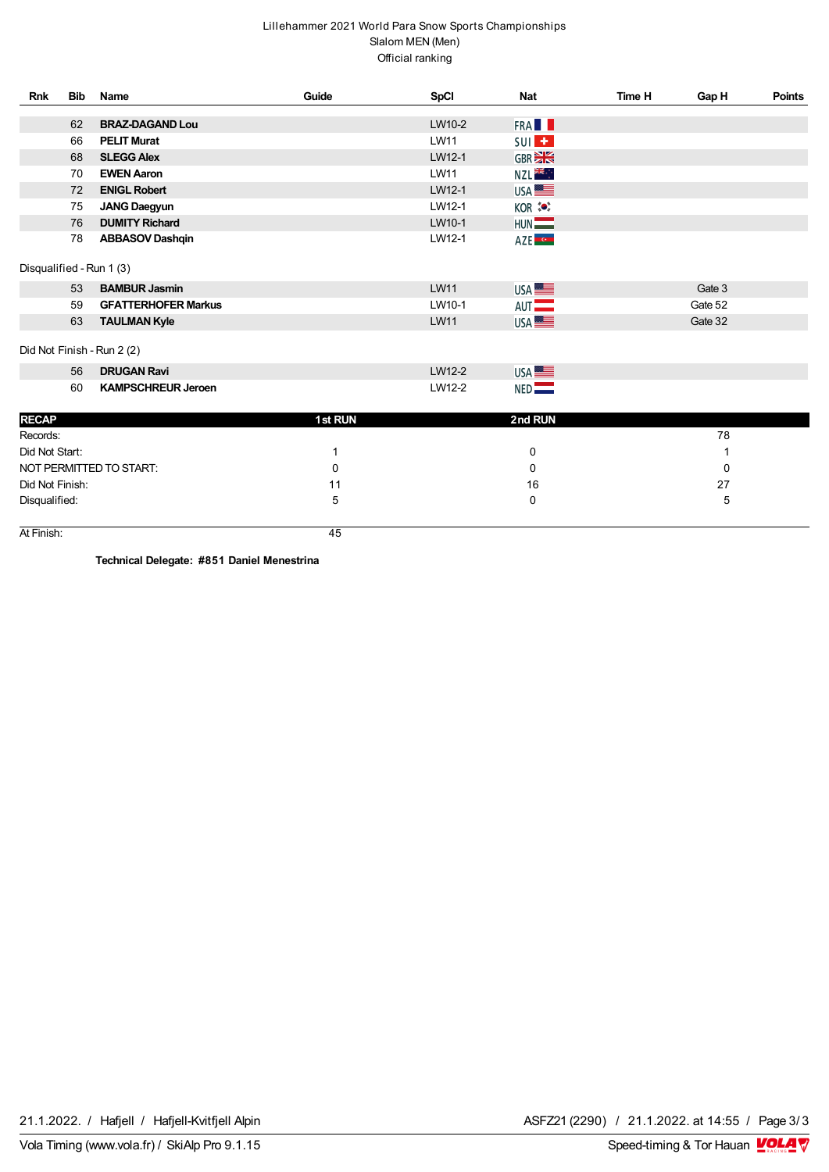## Lillehammer 2021 World Para Snow Sports Championships Slalom MEN (Men) Official ranking

| <b>Rnk</b>      | <b>Bib</b> | Name                       | Guide   | <b>SpCI</b> | <b>Nat</b>                        | Time H | Gap H   | <b>Points</b> |
|-----------------|------------|----------------------------|---------|-------------|-----------------------------------|--------|---------|---------------|
|                 | 62         | <b>BRAZ-DAGAND Lou</b>     |         | LW10-2      | FRA <b>II</b>                     |        |         |               |
|                 | 66         | <b>PELIT Murat</b>         |         | <b>LW11</b> |                                   |        |         |               |
|                 | 68         | <b>SLEGG Alex</b>          |         | LW12-1      | SUI <sup>L</sup><br><b>GBREEK</b> |        |         |               |
|                 | 70         | <b>EWEN Aaron</b>          |         | <b>LW11</b> |                                   |        |         |               |
|                 | 72         | <b>ENIGL Robert</b>        |         | LW12-1      | NZL <sup>SK</sup> .               |        |         |               |
|                 | 75         |                            |         | LW12-1      | USA <sup>SS</sup>                 |        |         |               |
|                 | 76         | <b>JANG Daegyun</b>        |         | LW10-1      | KOR :                             |        |         |               |
|                 |            | <b>DUMITY Richard</b>      |         |             | HUN                               |        |         |               |
|                 | 78         | <b>ABBASOV Dashqin</b>     |         | LW12-1      | AZE <sup>LO</sup>                 |        |         |               |
|                 |            | Disqualified - Run 1 (3)   |         |             |                                   |        |         |               |
|                 | 53         | <b>BAMBUR Jasmin</b>       |         | <b>LW11</b> | USA <b>LE</b>                     |        | Gate 3  |               |
|                 | 59         | <b>GFATTERHOFER Markus</b> |         | LW10-1      | AUT <sup>-</sup>                  |        | Gate 52 |               |
|                 | 63         | <b>TAULMAN Kyle</b>        |         | <b>LW11</b> | USA <sup>SS</sup>                 |        | Gate 32 |               |
|                 |            | Did Not Finish - Run 2 (2) |         |             |                                   |        |         |               |
|                 | 56         | <b>DRUGAN Ravi</b>         |         | LW12-2      | USA <b>LE</b>                     |        |         |               |
|                 | 60         | <b>KAMPSCHREUR Jeroen</b>  |         | LW12-2      | NED                               |        |         |               |
| <b>RECAP</b>    |            |                            | 1st RUN |             | 2nd RUN                           |        |         |               |
| Records:        |            |                            |         |             |                                   |        | 78      |               |
| Did Not Start:  |            |                            | 1       |             | 0                                 |        |         |               |
|                 |            | NOT PERMITTED TO START:    | 0       |             | 0                                 |        | 0       |               |
| Did Not Finish: |            |                            | 11      |             | 16                                |        | 27      |               |
| Disqualified:   |            |                            | 5       |             | 0                                 |        | 5       |               |
|                 |            |                            |         |             |                                   |        |         |               |
| At Finish:      |            |                            | 45      |             |                                   |        |         |               |

**Technical Delegate: #851 Daniel Menestrina**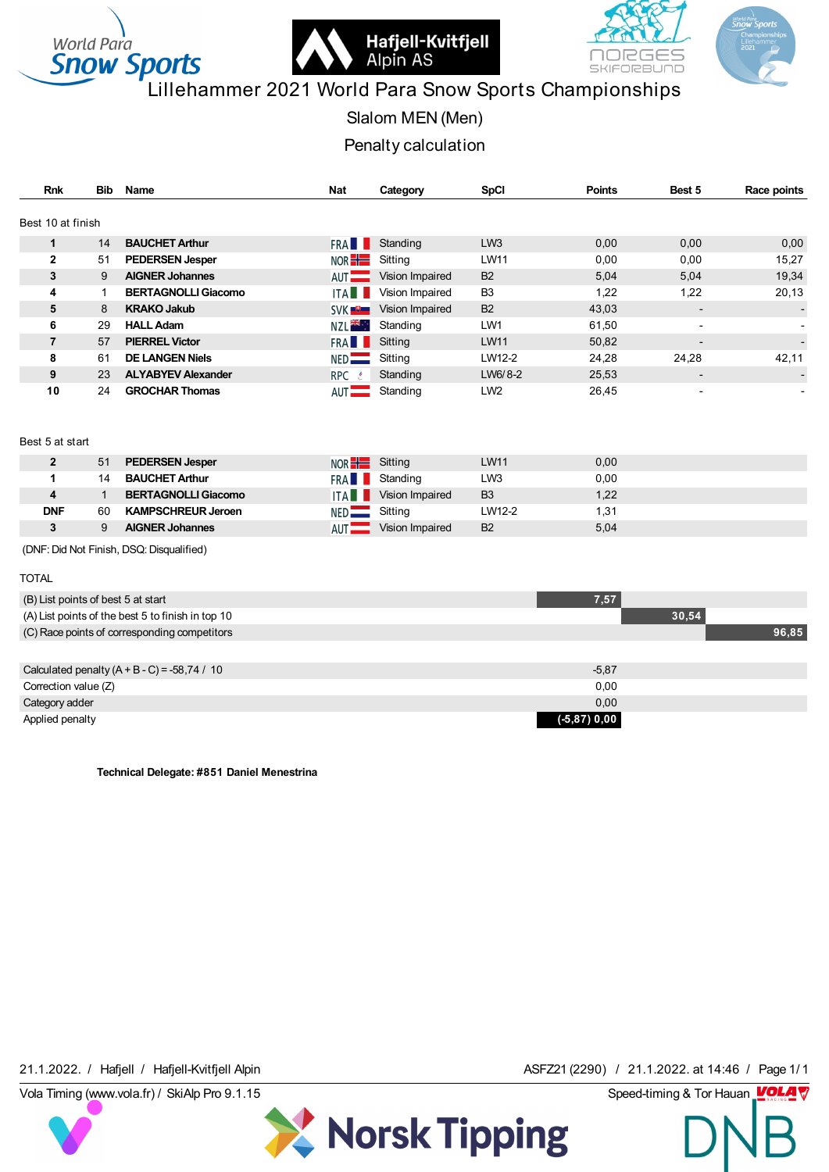



# **Snow Sports**<br>Lillehammer 2021 World Para Snow Sports Championships

Slalom MEN (Men)

Penalty calculation

| <b>Rnk</b>        | Bib | Name                       | Nat                 | Category        | <b>SpCI</b>     | <b>Points</b> | Best 5                   | Race points |
|-------------------|-----|----------------------------|---------------------|-----------------|-----------------|---------------|--------------------------|-------------|
| Best 10 at finish |     |                            |                     |                 |                 |               |                          |             |
| 1                 | 14  | <b>BAUCHET Arthur</b>      | <b>FRA</b>          | Standing        | LW <sub>3</sub> | 0,00          | 0,00                     | 0,00        |
| $\mathbf{2}$      | 51  | <b>PEDERSEN Jesper</b>     | NOR $\frac{1}{1}$   | Sitting         | <b>LW11</b>     | 0,00          | 0,00                     | 15,27       |
| 3                 | 9   | <b>AIGNER Johannes</b>     | AUT <b>THE</b>      | Vision Impaired | <b>B2</b>       | 5,04          | 5,04                     | 19,34       |
| 4                 |     | <b>BERTAGNOLLI Giacomo</b> | ITA                 | Vision Impaired | B <sub>3</sub>  | 1,22          | 1,22                     | 20,13       |
| 5                 | 8   | <b>KRAKO Jakub</b>         | <b>SVK ■ ■ ■</b>    | Vision Impaired | <b>B2</b>       | 43,03         | $\overline{\phantom{a}}$ |             |
| 6                 | 29  | <b>HALL Adam</b>           | NZL <sup>ak</sup> : | Standing        | LW1             | 61,50         | $\blacksquare$           |             |
| $\overline{7}$    | 57  | <b>PIERREL Victor</b>      | FRA <b>LL</b>       | Sitting         | <b>LW11</b>     | 50,82         | $\overline{\phantom{a}}$ |             |
| 8                 | 61  | <b>DE LANGEN Niels</b>     | $NED$ $\qquad$      | Sitting         | LW12-2          | 24,28         | 24,28                    | 42,11       |
| 9                 | 23  | <b>ALYABYEV Alexander</b>  | <b>RPC</b>          | Standing        | LW6/8-2         | 25,53         | $\overline{\phantom{a}}$ |             |
| 10                | 24  | <b>GROCHAR Thomas</b>      | $AUT$ $\qquad$      | Standing        | LW <sub>2</sub> | 26,45         | $\blacksquare$           |             |

#### Best 5 at start

|            | -51 | <b>PEDERSEN Jesper</b>     | $NOR +$    | Sitting         | <b>LW11</b>     | 0,00 |
|------------|-----|----------------------------|------------|-----------------|-----------------|------|
|            | 14  | <b>BAUCHET Arthur</b>      | <b>FRA</b> | Standing        | LW <sub>3</sub> | 0.00 |
|            |     | <b>BERTAGNOLLI Giacomo</b> | <b>ITA</b> | Vision Impaired | B <sub>3</sub>  | 1,22 |
| <b>DNF</b> | 60  | <b>KAMPSCHREUR Jeroen</b>  | NED.       | Sitting         | LW12-2          | 1,31 |
| っ          |     | <b>AIGNER Johannes</b>     | <b>AUT</b> | Vision Impaired | <b>B2</b>       | 5,04 |
|            |     |                            |            |                 |                 |      |

(DNF: Did Not Finish, DSQ: Disqualified)

#### TOTAL

| (B) List points of best 5 at start                | 7,57            |       |
|---------------------------------------------------|-----------------|-------|
| (A) List points of the best 5 to finish in top 10 |                 | 30,54 |
| (C) Race points of corresponding competitors      |                 | 96,85 |
|                                                   |                 |       |
| Calculated penalty $(A + B - C) = -58,74 / 10$    | $-5,87$         |       |
| Correction value (Z)                              | 0,00            |       |
| Category adder                                    | 0,00            |       |
| Applied penalty                                   | $(-5, 87)$ 0,00 |       |

X Norsk Tipping

**Technical Delegate: #851 Daniel Menestrina**

21.1.2022. / Hafjell / Hafjell-Kvitfjell Alpin **ASFZ21 (2290)** / 21.1.2022. at 14:46 / Page 1/1<br>Vola Timing (www.vola.fr) / SkiAlp Pro 9.1.15 Speed-timing & Tor Hauan **VOLA V** 21.1.2022. / Hafjell / Hafjell-Kvitfjell Alpin **ASFZ21 (2290) / 21.1.2022.** at 14:46 / Page 1/1

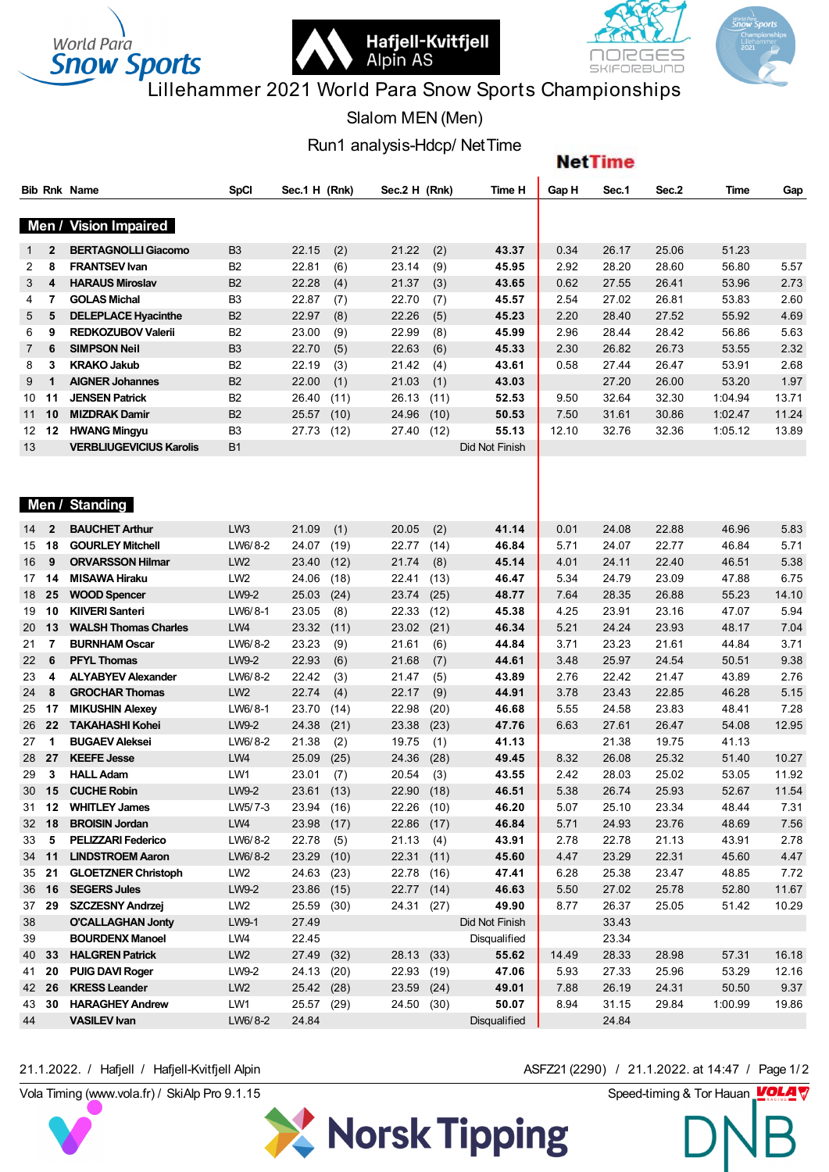



**NetTime** 

# Lillehammer 2021 World Para Snow Sports Championships

Slalom MEN (Men)

Run1 and Show Sports<br>
Slalom MEN (Men)<br>
Run1 analysis-Hdcp/ NetTime

|                  |              | <b>Bib Rnk Name</b>            | <b>SpCI</b>     | Sec.1 H (Rnk) | Sec.2 H (Rnk) | Time H              | Gap H | Sec.1 | Sec.2 | Time    | Gap   |
|------------------|--------------|--------------------------------|-----------------|---------------|---------------|---------------------|-------|-------|-------|---------|-------|
|                  |              |                                |                 |               |               |                     |       |       |       |         |       |
|                  | Men /        | <b>Vision Impaired</b>         |                 |               |               |                     |       |       |       |         |       |
| $\mathbf{1}$     | 2            | <b>BERTAGNOLLI Giacomo</b>     | B <sub>3</sub>  | 22.15<br>(2)  | 21.22<br>(2)  | 43.37               | 0.34  | 26.17 | 25.06 | 51.23   |       |
| 2                | 8            | <b>FRANTSEV Ivan</b>           | B2              | 22.81<br>(6)  | 23.14<br>(9)  | 45.95               | 2.92  | 28.20 | 28.60 | 56.80   | 5.57  |
| 3                | 4            | <b>HARAUS Miroslav</b>         | B <sub>2</sub>  | 22.28<br>(4)  | (3)<br>21.37  | 43.65               | 0.62  | 27.55 | 26.41 | 53.96   | 2.73  |
| 4                | 7            | <b>GOLAS Michal</b>            | B <sub>3</sub>  | 22.87<br>(7)  | 22.70<br>(7)  | 45.57               | 2.54  | 27.02 | 26.81 | 53.83   | 2.60  |
| 5                | 5            | <b>DELEPLACE Hyacinthe</b>     | <b>B2</b>       | 22.97<br>(8)  | 22.26<br>(5)  | 45.23               | 2.20  | 28.40 | 27.52 | 55.92   | 4.69  |
| 6                | 9            | <b>REDKOZUBOV Valerii</b>      | B2              | 23.00<br>(9)  | 22.99<br>(8)  | 45.99               | 2.96  | 28.44 | 28.42 | 56.86   | 5.63  |
| $\mathbf{7}$     | 6            | <b>SIMPSON Neil</b>            | B <sub>3</sub>  | 22.70<br>(5)  | 22.63<br>(6)  | 45.33               | 2.30  | 26.82 | 26.73 | 53.55   | 2.32  |
| 8                | 3            | <b>KRAKO Jakub</b>             | B <sub>2</sub>  | 22.19<br>(3)  | 21.42<br>(4)  | 43.61               | 0.58  | 27.44 | 26.47 | 53.91   | 2.68  |
| 9                | 1            | <b>AIGNER Johannes</b>         | B <sub>2</sub>  | 22.00<br>(1)  | 21.03<br>(1)  | 43.03               |       | 27.20 | 26.00 | 53.20   | 1.97  |
| 10               | 11           | <b>JENSEN Patrick</b>          | B <sub>2</sub>  | 26.40<br>(11) | 26.13<br>(11) | 52.53               | 9.50  | 32.64 | 32.30 | 1:04.94 | 13.71 |
| 11               | 10           | <b>MIZDRAK Damir</b>           | <b>B2</b>       | 25.57<br>(10) | 24.96<br>(10) | 50.53               | 7.50  | 31.61 | 30.86 | 1:02.47 | 11.24 |
| 12 <sup>12</sup> | 12           | <b>HWANG Mingyu</b>            | B <sub>3</sub>  | 27.73<br>(12) | 27.40<br>(12) | 55.13               | 12.10 | 32.76 | 32.36 | 1:05.12 | 13.89 |
| 13               |              | <b>VERBLIUGEVICIUS Karolis</b> | <b>B1</b>       |               |               | Did Not Finish      |       |       |       |         |       |
|                  |              |                                |                 |               |               |                     |       |       |       |         |       |
|                  |              |                                |                 |               |               |                     |       |       |       |         |       |
|                  |              | Men / Standing                 |                 |               |               |                     |       |       |       |         |       |
|                  |              |                                |                 |               |               |                     |       |       |       |         |       |
| 14               | $\mathbf{2}$ | <b>BAUCHET Arthur</b>          | LW <sub>3</sub> | 21.09<br>(1)  | 20.05<br>(2)  | 41.14               | 0.01  | 24.08 | 22.88 | 46.96   | 5.83  |
| 15               | 18           | <b>GOURLEY Mitchell</b>        | LW6/8-2         | 24.07<br>(19) | 22.77<br>(14) | 46.84               | 5.71  | 24.07 | 22.77 | 46.84   | 5.71  |
| 16               | 9            | <b>ORVARSSON Hilmar</b>        | LW <sub>2</sub> | 23.40<br>(12) | 21.74<br>(8)  | 45.14               | 4.01  | 24.11 | 22.40 | 46.51   | 5.38  |
| 17               | 14           | <b>MISAWA Hiraku</b>           | LW <sub>2</sub> | 24.06<br>(18) | 22.41<br>(13) | 46.47               | 5.34  | 24.79 | 23.09 | 47.88   | 6.75  |
| 18               | 25           | <b>WOOD Spencer</b>            | LW9-2           | 25.03<br>(24) | 23.74<br>(25) | 48.77               | 7.64  | 28.35 | 26.88 | 55.23   | 14.10 |
| 19               | 10           | <b>KIIVERI Santeri</b>         | LW6/8-1         | 23.05<br>(8)  | 22.33<br>(12) | 45.38               | 4.25  | 23.91 | 23.16 | 47.07   | 5.94  |
| 20               | 13           | <b>WALSH Thomas Charles</b>    | LW4             | 23.32<br>(11) | 23.02<br>(21) | 46.34               | 5.21  | 24.24 | 23.93 | 48.17   | 7.04  |
| 21               | 7            | <b>BURNHAM Oscar</b>           | LW6/8-2         | 23.23<br>(9)  | 21.61<br>(6)  | 44.84               | 3.71  | 23.23 | 21.61 | 44.84   | 3.71  |
| 22               | 6            | <b>PFYL Thomas</b>             | LW9-2           | 22.93<br>(6)  | 21.68<br>(7)  | 44.61               | 3.48  | 25.97 | 24.54 | 50.51   | 9.38  |
| 23               | 4            | <b>ALYABYEV Alexander</b>      | LW6/8-2         | 22.42<br>(3)  | 21.47<br>(5)  | 43.89               | 2.76  | 22.42 | 21.47 | 43.89   | 2.76  |
| 24               | 8            | <b>GROCHAR Thomas</b>          | LW <sub>2</sub> | 22.74<br>(4)  | 22.17<br>(9)  | 44.91               | 3.78  | 23.43 | 22.85 | 46.28   | 5.15  |
| 25               | 17           | <b>MIKUSHIN Alexey</b>         | LW6/8-1         | 23.70<br>(14) | 22.98<br>(20) | 46.68               | 5.55  | 24.58 | 23.83 | 48.41   | 7.28  |
| 26               | 22           | <b>TAKAHASHI Kohei</b>         | LW9-2           | 24.38<br>(21) | 23.38<br>(23) | 47.76               | 6.63  | 27.61 | 26.47 | 54.08   | 12.95 |
| 27               | 1            | <b>BUGAEV Aleksei</b>          | LW6/8-2         | 21.38<br>(2)  | 19.75<br>(1)  | 41.13               |       | 21.38 | 19.75 | 41.13   |       |
| 28               | 27           | <b>KEEFE Jesse</b>             | LW4             | 25.09<br>(25) | 24.36<br>(28) | 49.45               | 8.32  | 26.08 | 25.32 | 51.40   | 10.27 |
| 29               | 3            | <b>HALL Adam</b>               | LW1             | 23.01<br>(7)  | 20.54<br>(3)  | 43.55               | 2.42  | 28.03 | 25.02 | 53.05   | 11.92 |
| 30               | 15           | <b>CUCHE Robin</b>             | LW9-2           | 23.61<br>(13) | 22.90<br>(18) | 46.51               | 5.38  | 26.74 | 25.93 | 52.67   | 11.54 |
| 31 12            |              | <b>WHITLEY James</b>           | LW5/7-3         | 23.94 (16)    | 22.26 (10)    | 46.20               | 5.07  | 25.10 | 23.34 | 48.44   | 7.31  |
| 32 18            |              | <b>BROISIN Jordan</b>          | LW4             | 23.98<br>(17) | 22.86 (17)    | 46.84               | 5.71  | 24.93 | 23.76 | 48.69   | 7.56  |
| 33 5             |              | <b>PELIZZARI Federico</b>      | LW6/8-2         | (5)<br>22.78  | 21.13<br>(4)  | 43.91               | 2.78  | 22.78 | 21.13 | 43.91   | 2.78  |
| 34 11            |              | <b>LINDSTROEM Aaron</b>        | LW6/8-2         | 23.29<br>(10) | 22.31<br>(11) | 45.60               | 4.47  | 23.29 | 22.31 | 45.60   | 4.47  |
| 35 21            |              | <b>GLOETZNER Christoph</b>     | LW <sub>2</sub> | (23)<br>24.63 | 22.78 (16)    | 47.41               | 6.28  | 25.38 | 23.47 | 48.85   | 7.72  |
| 36 16            |              | <b>SEGERS Jules</b>            | LW9-2           | 23.86<br>(15) | 22.77<br>(14) | 46.63               | 5.50  | 27.02 | 25.78 | 52.80   | 11.67 |
| 37 29            |              | <b>SZCZESNY Andrzej</b>        | LW <sub>2</sub> | 25.59<br>(30) | 24.31 (27)    | 49.90               | 8.77  | 26.37 | 25.05 | 51.42   | 10.29 |
| 38               |              | <b>O'CALLAGHAN Jonty</b>       | LW9-1           | 27.49         |               | Did Not Finish      |       | 33.43 |       |         |       |
| 39               |              | <b>BOURDENX Manoel</b>         | LW4             | 22.45         |               | Disqualified        |       | 23.34 |       |         |       |
| 40 33            |              | <b>HALGREN Patrick</b>         | LW <sub>2</sub> | 27.49<br>(32) | 28.13 (33)    | 55.62               | 14.49 | 28.33 | 28.98 | 57.31   | 16.18 |
| 41 20            |              | <b>PUIG DAVI Roger</b>         | LW9-2           | 24.13<br>(20) | 22.93 (19)    | 47.06               | 5.93  | 27.33 | 25.96 | 53.29   | 12.16 |
| 42 26            |              | <b>KRESS Leander</b>           | LW <sub>2</sub> | 25.42 (28)    | 23.59 (24)    | 49.01               | 7.88  | 26.19 | 24.31 | 50.50   | 9.37  |
| 43               | 30           | <b>HARAGHEY Andrew</b>         | LW1             | 25.57<br>(29) | 24.50 (30)    | 50.07               | 8.94  | 31.15 | 29.84 | 1:00.99 | 19.86 |
| 44               |              | <b>VASILEV Ivan</b>            | LW6/8-2         | 24.84         |               | <b>Disqualified</b> |       | 24.84 |       |         |       |
|                  |              |                                |                 |               |               |                     |       |       |       |         |       |

X Norsk Tipping

Vola Timing (www.vola.fr) / SkiAlp Pro 9.1.15 Speed-timing & Tor Hauan 21.1.2022. / Hafjell / Hafjell-Kvitfjell Alpin ASFZ21 (2290) / 21.1.2022. at 14:47 / Page 1/2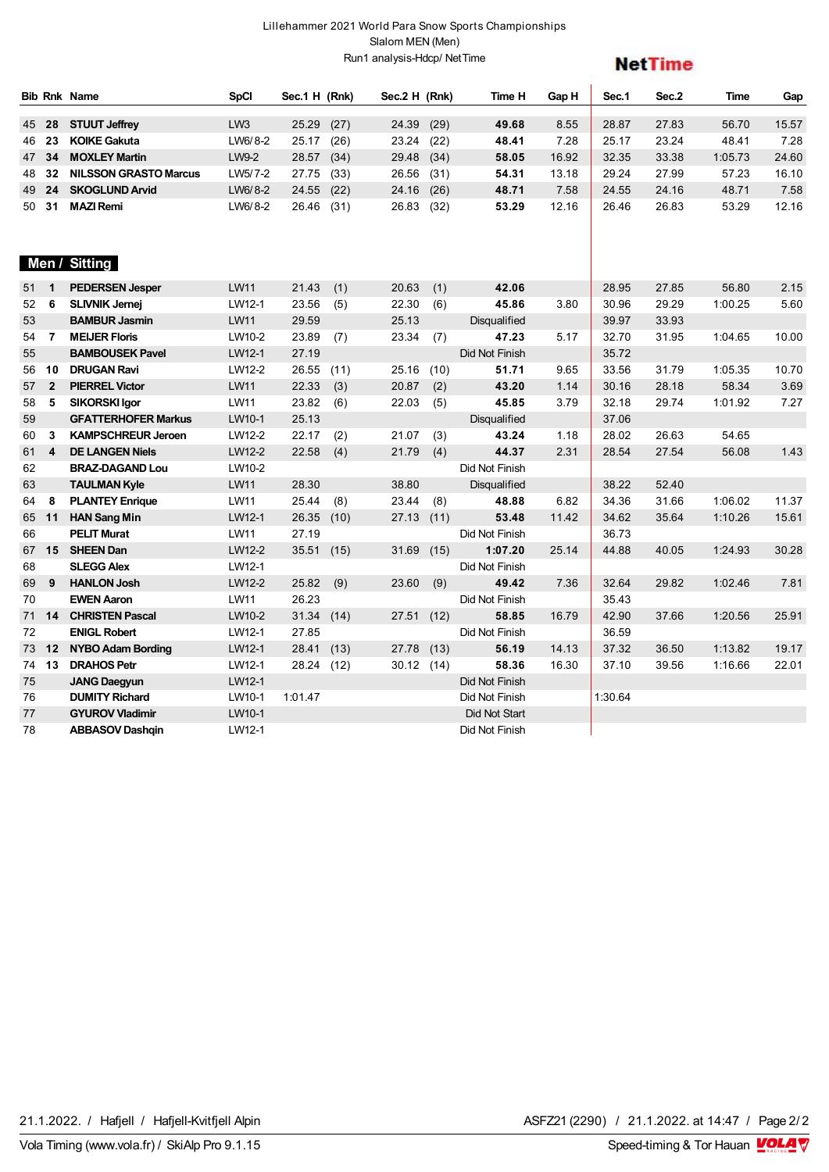### Lillehammer 2021 World Para Snow Sports Championships Slalom MEN (Men) Run1 analysis-Hdcp/ NetTime

| <b>NetTime</b> |  |
|----------------|--|
|                |  |

|              |                         | <b>Bib Rnk Name</b>          | <b>SpCI</b>     | Sec.1 H (Rnk) |      | Sec.2 H (Rnk) |      | Time H               | Gap H | Sec.1   | Sec.2 | Time    | Gap   |
|--------------|-------------------------|------------------------------|-----------------|---------------|------|---------------|------|----------------------|-------|---------|-------|---------|-------|
|              | 45 28                   | <b>STUUT Jeffrey</b>         | LW <sub>3</sub> | 25.29         | (27) | 24.39         | (29) | 49.68                | 8.55  | 28.87   | 27.83 | 56.70   | 15.57 |
|              | 46 23                   | <b>KOIKE Gakuta</b>          | LW6/8-2         | 25.17         | (26) | 23.24         | (22) | 48.41                | 7.28  | 25.17   | 23.24 | 48.41   | 7.28  |
|              | 47 34                   | <b>MOXLEY Martin</b>         | LW9-2           | 28.57         | (34) | 29.48         | (34) | 58.05                | 16.92 | 32.35   | 33.38 | 1:05.73 | 24.60 |
| 48           | 32                      | <b>NILSSON GRASTO Marcus</b> | LW5/7-2         | 27.75         | (33) | 26.56         | (31) | 54.31                | 13.18 | 29.24   | 27.99 | 57.23   | 16.10 |
| 49           | 24                      | <b>SKOGLUND Arvid</b>        | LW6/8-2         | 24.55         | (22) | 24.16         | (26) | 48.71                | 7.58  | 24.55   | 24.16 | 48.71   | 7.58  |
| 50 31        |                         | <b>MAZI Remi</b>             | LW6/8-2         | 26.46         | (31) | 26.83         | (32) | 53.29                | 12.16 | 26.46   | 26.83 | 53.29   | 12.16 |
|              |                         | Men / Sitting                |                 |               |      |               |      |                      |       |         |       |         |       |
| $51 \quad 1$ |                         | <b>PEDERSEN Jesper</b>       | <b>LW11</b>     | 21.43         | (1)  | 20.63         | (1)  | 42.06                |       | 28.95   | 27.85 | 56.80   | 2.15  |
| 52           | 6                       | <b>SLIVNIK Jernej</b>        | LW12-1          | 23.56         | (5)  | 22.30         | (6)  | 45.86                | 3.80  | 30.96   | 29.29 | 1:00.25 | 5.60  |
| 53           |                         | <b>BAMBUR Jasmin</b>         | <b>LW11</b>     | 29.59         |      | 25.13         |      | <b>Disqualified</b>  |       | 39.97   | 33.93 |         |       |
| 54           | $\overline{7}$          | <b>MEIJER Floris</b>         | LW10-2          | 23.89         | (7)  | 23.34         | (7)  | 47.23                | 5.17  | 32.70   | 31.95 | 1:04.65 | 10.00 |
| 55           |                         | <b>BAMBOUSEK Pavel</b>       | LW12-1          | 27.19         |      |               |      | Did Not Finish       |       | 35.72   |       |         |       |
|              | 56 10                   | <b>DRUGAN Ravi</b>           | LW12-2          | 26.55         | (11) | 25.16         | (10) | 51.71                | 9.65  | 33.56   | 31.79 | 1:05.35 | 10.70 |
| 57 2         |                         | <b>PIERREL Victor</b>        | LW11            | 22.33         | (3)  | 20.87         | (2)  | 43.20                | 1.14  | 30.16   | 28.18 | 58.34   | 3.69  |
| 58           | 5                       | <b>SIKORSKI Igor</b>         | <b>LW11</b>     | 23.82         | (6)  | 22.03         | (5)  | 45.85                | 3.79  | 32.18   | 29.74 | 1:01.92 | 7.27  |
| 59           |                         | <b>GFATTERHOFER Markus</b>   | LW10-1          | 25.13         |      |               |      | <b>Disqualified</b>  |       | 37.06   |       |         |       |
| 60           | 3                       | <b>KAMPSCHREUR Jeroen</b>    | LW12-2          | 22.17         | (2)  | 21.07         | (3)  | 43.24                | 1.18  | 28.02   | 26.63 | 54.65   |       |
| 61           | $\overline{\mathbf{4}}$ | <b>DE LANGEN Niels</b>       | LW12-2          | 22.58         | (4)  | 21.79         | (4)  | 44.37                | 2.31  | 28.54   | 27.54 | 56.08   | 1.43  |
| 62           |                         | <b>BRAZ-DAGAND Lou</b>       | LW10-2          |               |      |               |      | Did Not Finish       |       |         |       |         |       |
| 63           |                         | <b>TAULMAN Kyle</b>          | <b>LW11</b>     | 28.30         |      | 38.80         |      | <b>Disqualified</b>  |       | 38.22   | 52.40 |         |       |
| 64           | 8                       | <b>PLANTEY Enrique</b>       | LW11            | 25.44         | (8)  | 23.44         | (8)  | 48.88                | 6.82  | 34.36   | 31.66 | 1:06.02 | 11.37 |
| 65 11        |                         | <b>HAN Sang Min</b>          | LW12-1          | 26.35         | (10) | 27.13         | (11) | 53.48                | 11.42 | 34.62   | 35.64 | 1:10.26 | 15.61 |
| 66           |                         | <b>PELIT Murat</b>           | <b>LW11</b>     | 27.19         |      |               |      | Did Not Finish       |       | 36.73   |       |         |       |
|              | 67 15                   | <b>SHEEN Dan</b>             | LW12-2          | 35.51         | (15) | 31.69         | (15) | 1:07.20              | 25.14 | 44.88   | 40.05 | 1:24.93 | 30.28 |
| 68           |                         | <b>SLEGG Alex</b>            | LW12-1          |               |      |               |      | Did Not Finish       |       |         |       |         |       |
| 69           | 9                       | <b>HANLON Josh</b>           | LW12-2          | 25.82         | (9)  | 23.60         | (9)  | 49.42                | 7.36  | 32.64   | 29.82 | 1:02.46 | 7.81  |
| 70           |                         | <b>EWEN Aaron</b>            | <b>LW11</b>     | 26.23         |      |               |      | Did Not Finish       |       | 35.43   |       |         |       |
|              | 71 14                   | <b>CHRISTEN Pascal</b>       | LW10-2          | 31.34         | (14) | 27.51         | (12) | 58.85                | 16.79 | 42.90   | 37.66 | 1:20.56 | 25.91 |
| 72           |                         | <b>ENIGL Robert</b>          | LW12-1          | 27.85         |      |               |      | Did Not Finish       |       | 36.59   |       |         |       |
|              | 73 12                   | <b>NYBO Adam Bording</b>     | LW12-1          | 28.41         | (13) | 27.78         | (13) | 56.19                | 14.13 | 37.32   | 36.50 | 1:13.82 | 19.17 |
|              | 74 13                   | <b>DRAHOS Petr</b>           | LW12-1          | 28.24         | (12) | 30.12 (14)    |      | 58.36                | 16.30 | 37.10   | 39.56 | 1:16.66 | 22.01 |
| 75           |                         | <b>JANG Daegyun</b>          | LW12-1          |               |      |               |      | Did Not Finish       |       |         |       |         |       |
| 76           |                         | <b>DUMITY Richard</b>        | LW10-1          | 1:01.47       |      |               |      | Did Not Finish       |       | 1:30.64 |       |         |       |
| 77           |                         | <b>GYUROV Vladimir</b>       | LW10-1          |               |      |               |      | <b>Did Not Start</b> |       |         |       |         |       |
| 78           |                         | <b>ABBASOV Dashqin</b>       | LW12-1          |               |      |               |      | Did Not Finish       |       |         |       |         |       |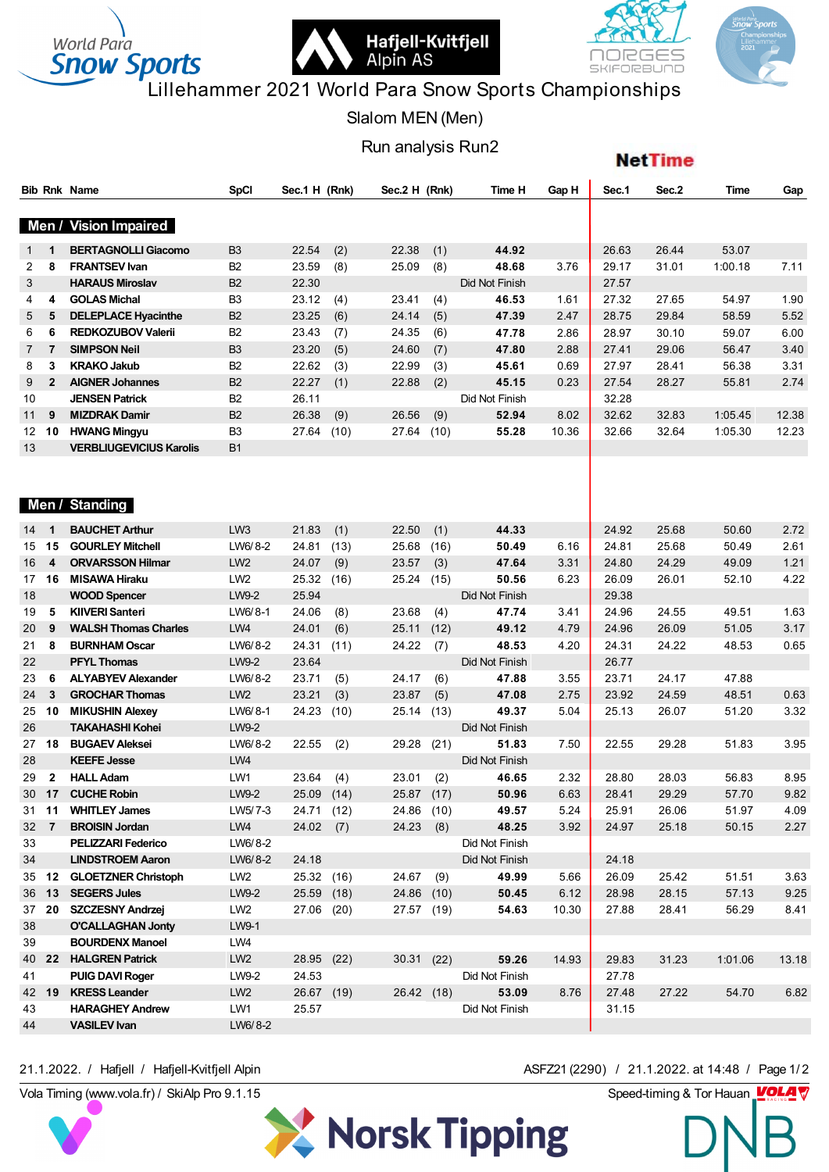



**NetTime** 

# **Snow Sports**<br>Lillehammer 2021 World Para Snow Sports Championships

Slalom MEN (Men)

Run analysis Run2

|                  |                | <b>Bib Rnk Name</b>            | <b>SpCI</b>     | Sec.1 H (Rnk) | Sec.2 H (Rnk) |      | Time H         | Gap H | Sec.1 | Sec.2 | Time    | Gap   |
|------------------|----------------|--------------------------------|-----------------|---------------|---------------|------|----------------|-------|-------|-------|---------|-------|
|                  |                |                                |                 |               |               |      |                |       |       |       |         |       |
|                  | Men /          | <b>Vision Impaired</b>         |                 |               |               |      |                |       |       |       |         |       |
| $\mathbf{1}$     | $\mathbf 1$    | <b>BERTAGNOLLI Giacomo</b>     | B <sub>3</sub>  | 22.54<br>(2)  | 22.38         | (1)  | 44.92          |       | 26.63 | 26.44 | 53.07   |       |
| 2                | 8              | <b>FRANTSEV Ivan</b>           | B <sub>2</sub>  | 23.59<br>(8)  | 25.09         | (8)  | 48.68          | 3.76  | 29.17 | 31.01 | 1:00.18 | 7.11  |
| 3                |                | <b>HARAUS Miroslav</b>         | B <sub>2</sub>  | 22.30         |               |      | Did Not Finish |       | 27.57 |       |         |       |
| 4                | 4              | <b>GOLAS Michal</b>            | B <sub>3</sub>  | 23.12<br>(4)  | 23.41         | (4)  | 46.53          | 1.61  | 27.32 | 27.65 | 54.97   | 1.90  |
| 5                | 5              | <b>DELEPLACE Hyacinthe</b>     | B <sub>2</sub>  | 23.25<br>(6)  | 24.14         | (5)  | 47.39          | 2.47  | 28.75 | 29.84 | 58.59   | 5.52  |
| 6                | 6              | <b>REDKOZUBOV Valerii</b>      | B <sub>2</sub>  | 23.43<br>(7)  | 24.35         | (6)  | 47.78          | 2.86  | 28.97 | 30.10 | 59.07   | 6.00  |
| $\overline{7}$   | $\overline{7}$ | <b>SIMPSON Neil</b>            | B <sub>3</sub>  | 23.20<br>(5)  | 24.60         | (7)  | 47.80          | 2.88  | 27.41 | 29.06 | 56.47   | 3.40  |
| 8                | 3              | <b>KRAKO Jakub</b>             | B <sub>2</sub>  | 22.62<br>(3)  | 22.99         | (3)  | 45.61          | 0.69  | 27.97 | 28.41 | 56.38   | 3.31  |
| 9                | $\overline{2}$ | <b>AIGNER Johannes</b>         | B <sub>2</sub>  | 22.27<br>(1)  | 22.88         | (2)  | 45.15          | 0.23  | 27.54 | 28.27 | 55.81   | 2.74  |
| 10               |                | <b>JENSEN Patrick</b>          | B <sub>2</sub>  | 26.11         |               |      | Did Not Finish |       | 32.28 |       |         |       |
| 11               | 9              | <b>MIZDRAK Damir</b>           | B <sub>2</sub>  | 26.38<br>(9)  | 26.56         | (9)  | 52.94          | 8.02  | 32.62 | 32.83 | 1:05.45 | 12.38 |
| 12 <sup>12</sup> | 10             | <b>HWANG Mingyu</b>            | B <sub>3</sub>  | 27.64<br>(10) | 27.64         | (10) | 55.28          | 10.36 | 32.66 | 32.64 | 1:05.30 | 12.23 |
| 13               |                | <b>VERBLIUGEVICIUS Karolis</b> | <b>B1</b>       |               |               |      |                |       |       |       |         |       |
|                  |                |                                |                 |               |               |      |                |       |       |       |         |       |
|                  |                |                                |                 |               |               |      |                |       |       |       |         |       |
|                  | Men /          | <b>Standing</b>                |                 |               |               |      |                |       |       |       |         |       |
| 14               | 1              | <b>BAUCHET Arthur</b>          | LW <sub>3</sub> | 21.83<br>(1)  | 22.50         | (1)  | 44.33          |       | 24.92 | 25.68 | 50.60   | 2.72  |
| 15               | 15             | <b>GOURLEY Mitchell</b>        | LW6/8-2         | 24.81<br>(13) | 25.68         | (16) | 50.49          | 6.16  | 24.81 | 25.68 | 50.49   | 2.61  |
| 16               | 4              | <b>ORVARSSON Hilmar</b>        | LW <sub>2</sub> | 24.07<br>(9)  | 23.57         | (3)  | 47.64          | 3.31  | 24.80 | 24.29 | 49.09   | 1.21  |
| 17               | 16             | <b>MISAWA Hiraku</b>           | LW <sub>2</sub> | 25.32<br>(16) | 25.24         | (15) | 50.56          | 6.23  | 26.09 | 26.01 | 52.10   | 4.22  |
| 18               |                | <b>WOOD Spencer</b>            | LW9-2           | 25.94         |               |      | Did Not Finish |       | 29.38 |       |         |       |
| 19               | 5              | <b>KIIVERI Santeri</b>         | LW6/8-1         | 24.06<br>(8)  | 23.68         | (4)  | 47.74          | 3.41  | 24.96 | 24.55 | 49.51   | 1.63  |
| 20               | 9              | <b>WALSH Thomas Charles</b>    | LW4             | 24.01<br>(6)  | 25.11         | (12) | 49.12          | 4.79  | 24.96 | 26.09 | 51.05   | 3.17  |
| 21               | 8              | <b>BURNHAM Oscar</b>           | LW6/8-2         | 24.31<br>(11) | 24.22         | (7)  | 48.53          | 4.20  | 24.31 | 24.22 | 48.53   | 0.65  |
| 22               |                | <b>PFYL Thomas</b>             | LW9-2           | 23.64         |               |      | Did Not Finish |       | 26.77 |       |         |       |
| 23               | 6              | <b>ALYABYEV Alexander</b>      | LW6/8-2         | 23.71<br>(5)  | 24.17         | (6)  | 47.88          | 3.55  | 23.71 | 24.17 | 47.88   |       |
| 24               | 3              | <b>GROCHAR Thomas</b>          | LW <sub>2</sub> | 23.21<br>(3)  | 23.87         | (5)  | 47.08          | 2.75  | 23.92 | 24.59 | 48.51   | 0.63  |
| 25               | 10             | <b>MIKUSHIN Alexey</b>         | LW6/8-1         | 24.23<br>(10) | 25.14         | (13) | 49.37          | 5.04  | 25.13 | 26.07 | 51.20   | 3.32  |
| 26               |                | <b>TAKAHASHI Kohei</b>         | LW9-2           |               |               |      | Did Not Finish |       |       |       |         |       |
| 27               | 18             | <b>BUGAEV Aleksei</b>          | LW6/8-2         | 22.55<br>(2)  | 29.28         | (21) | 51.83          | 7.50  | 22.55 | 29.28 | 51.83   | 3.95  |
| 28               |                | <b>KEEFE Jesse</b>             | LW4             |               |               |      | Did Not Finish |       |       |       |         |       |
| 29               | $\mathbf{2}$   | <b>HALL Adam</b>               | LW1             | 23.64<br>(4)  | 23.01         | (2)  | 46.65          | 2.32  | 28.80 | 28.03 | 56.83   | 8.95  |
|                  | 30 17          | <b>CUCHE Robin</b>             | LW9-2           | 25.09 (14)    | 25.87 (17)    |      | 50.96          | 6.63  | 28.41 | 29.29 | 57.70   | 9.82  |
|                  | 31 11          | <b>WHITLEY James</b>           | LW5/7-3         | 24.71<br>(12) | 24.86 (10)    |      | 49.57          | 5.24  | 25.91 | 26.06 | 51.97   | 4.09  |
|                  | $32 \quad 7$   | <b>BROISIN Jordan</b>          | LW4             | $24.02$ (7)   | 24.23         | (8)  | 48.25          | 3.92  | 24.97 | 25.18 | 50.15   | 2.27  |
| 33               |                | <b>PELIZZARI Federico</b>      | LW6/8-2         |               |               |      | Did Not Finish |       |       |       |         |       |
| 34               |                | <b>LINDSTROEM Aaron</b>        | LW6/8-2         | 24.18         |               |      | Did Not Finish |       | 24.18 |       |         |       |
|                  |                | 35 12 GLOETZNER Christoph      | LW <sub>2</sub> | 25.32 (16)    | 24.67         | (9)  | 49.99          | 5.66  | 26.09 | 25.42 | 51.51   | 3.63  |
|                  |                | 36 13 SEGERS Jules             | LW9-2           | 25.59 (18)    | 24.86 (10)    |      | 50.45          | 6.12  | 28.98 | 28.15 | 57.13   | 9.25  |
|                  |                | 37 20 SZCZESNY Andrzej         | LW <sub>2</sub> | 27.06 (20)    | 27.57 (19)    |      | 54.63          | 10.30 | 27.88 | 28.41 | 56.29   | 8.41  |
| 38               |                | <b>O'CALLAGHAN Jonty</b>       | LW9-1           |               |               |      |                |       |       |       |         |       |
| 39               |                | <b>BOURDENX Manoel</b>         | LW4             |               |               |      |                |       |       |       |         |       |
|                  | 40 22          | <b>HALGREN Patrick</b>         | LW <sub>2</sub> | 28.95 (22)    | 30.31(22)     |      | 59.26          | 14.93 | 29.83 | 31.23 | 1:01.06 | 13.18 |
| 41               |                | <b>PUIG DAVI Roger</b>         | LW9-2           | 24.53         |               |      | Did Not Finish |       | 27.78 |       |         |       |
|                  | 42 19          | <b>KRESS Leander</b>           | LW <sub>2</sub> | 26.67 (19)    | 26.42 (18)    |      | 53.09          | 8.76  | 27.48 | 27.22 | 54.70   | 6.82  |
| 43               |                | <b>HARAGHEY Andrew</b>         | LW1             | 25.57         |               |      | Did Not Finish |       | 31.15 |       |         |       |
| 44               |                | <b>VASILEV Ivan</b>            | LW6/8-2         |               |               |      |                |       |       |       |         |       |
|                  |                |                                |                 |               |               |      |                |       |       |       |         |       |

X Norsk Tipping

Vola Timing (www.vola.fr) / SkiAlp Pro 9.1.15 Speed-timing & Tor Hauan 21.1.2022. / Hafjell / Hafjell-Kvitfjell Alpin ASFZ21 (2290) / 21.1.2022. at 14:48 / Page 1/2